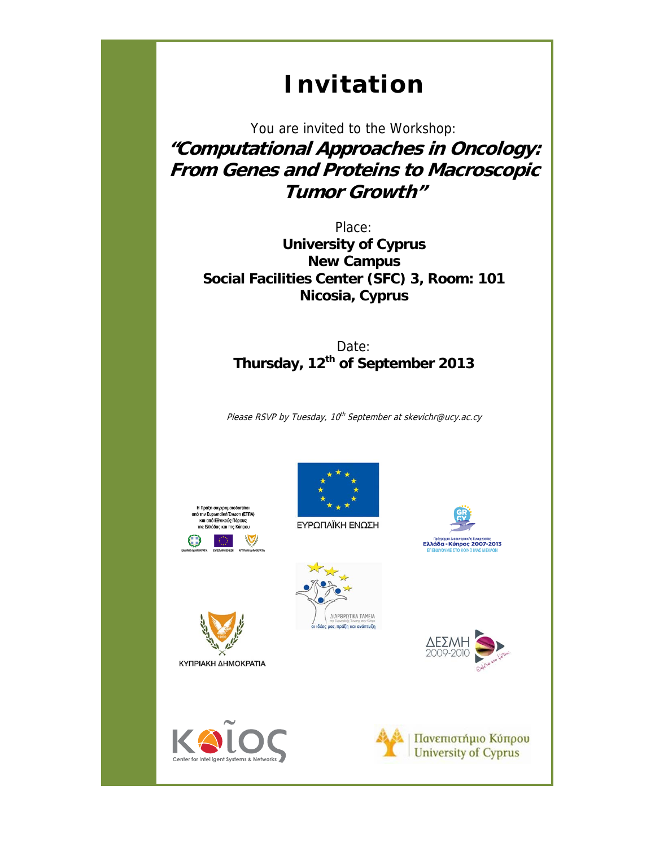## **Invitation**

You are invited to the Workshop: **"Computational Approaches in Oncology: From Genes and Proteins to Macroscopic Tumor Growth"** 

Place: **University of Cyprus New Campus Social Facilities Center (SFC) 3, Room: 101 Nicosia, Cyprus** 

> Date: **Thursday, 12th of September 2013**

Please RSVP by Tuesday, 10<sup>th</sup> September at skevichr@ucy.ac.cy







Eλλάδα - Κύπρος 2007-2013







ΚΥΠΡΙΑΚΗ ΔΗΜΟΚΡΑΤΙΑ

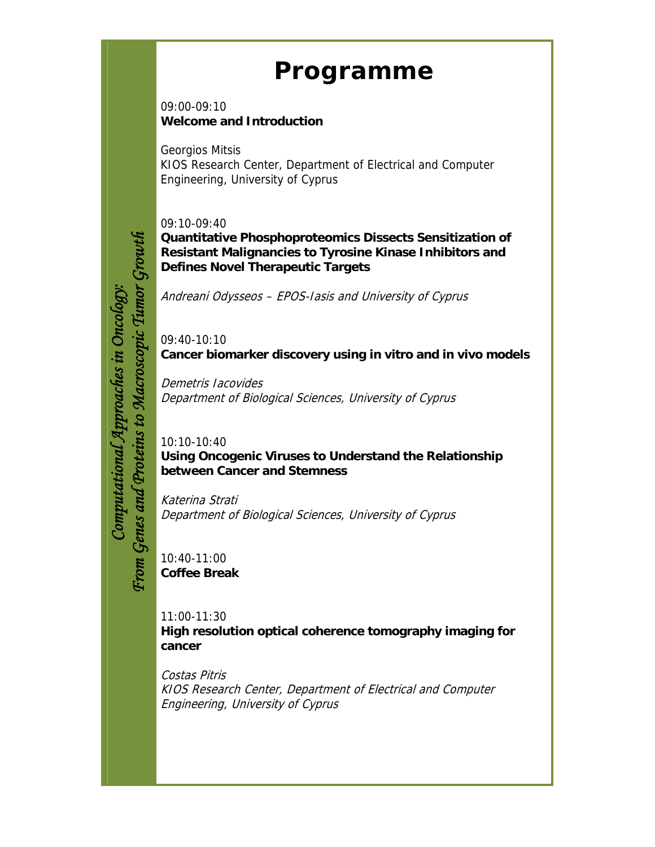## **Programme**

09:00-09:10 **Welcome and Introduction** 

Georgios Mitsis KIOS Research Center, Department of Electrical and Computer Engineering, University of Cyprus

09:10-09:40

**Quantitative Phosphoproteomics Dissects Sensitization of Resistant Malignancies to Tyrosine Kinase Inhibitors and Defines Novel Therapeutic Targets** 

Andreani Odysseos – EPOS-Iasis and University of Cyprus

09:40-10:10 **Cancer biomarker discovery using in vitro and in vivo models** 

Demetris Iacovides Department of Biological Sciences, University of Cyprus

10:10-10:40 **Using Oncogenic Viruses to Understand the Relationship between Cancer and Stemness** 

Katerina Strati Department of Biological Sciences, University of Cyprus

10:40-11:00 **Coffee Break** 

*Computational Approaches in Oncology: From Genes and Proteins to Macroscopic Tumor Growth*

Computational Approaches in Oncology:

From Genes and Proteins to Macroscopic Tumor

Growth

11:00-11:30 **High resolution optical coherence tomography imaging for cancer** 

Costas Pitris KIOS Research Center, Department of Electrical and Computer Engineering, University of Cyprus